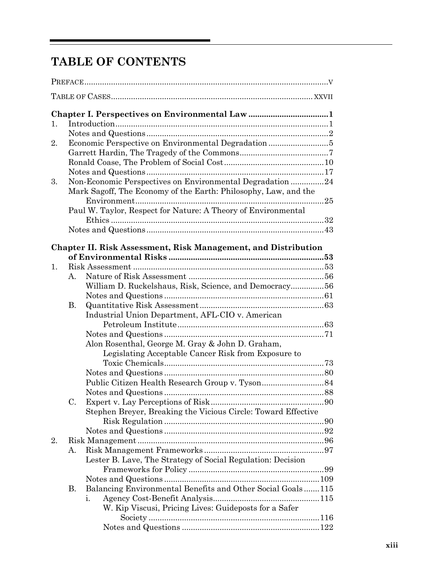## **TABLE OF CONTENTS**

| 1. |    |                                                                       |  |
|----|----|-----------------------------------------------------------------------|--|
|    |    |                                                                       |  |
| 2. |    |                                                                       |  |
|    |    |                                                                       |  |
|    |    |                                                                       |  |
|    |    |                                                                       |  |
| 3. |    | Non-Economic Perspectives on Environmental Degradation 24             |  |
|    |    | Mark Sagoff, The Economy of the Earth: Philosophy, Law, and the       |  |
|    |    |                                                                       |  |
|    |    |                                                                       |  |
|    |    | Paul W. Taylor, Respect for Nature: A Theory of Environmental         |  |
|    |    |                                                                       |  |
|    |    |                                                                       |  |
|    |    |                                                                       |  |
|    |    | <b>Chapter II. Risk Assessment, Risk Management, and Distribution</b> |  |
|    |    |                                                                       |  |
| 1. |    |                                                                       |  |
|    | А. |                                                                       |  |
|    |    | William D. Ruckelshaus, Risk, Science, and Democracy 56               |  |
|    |    |                                                                       |  |
|    | В. |                                                                       |  |
|    |    | Industrial Union Department, AFL-CIO v. American                      |  |
|    |    |                                                                       |  |
|    |    |                                                                       |  |
|    |    | Alon Rosenthal, George M. Gray & John D. Graham,                      |  |
|    |    |                                                                       |  |
|    |    | Legislating Acceptable Cancer Risk from Exposure to                   |  |
|    |    |                                                                       |  |
|    |    |                                                                       |  |
|    |    |                                                                       |  |
|    |    |                                                                       |  |
|    | C. |                                                                       |  |
|    |    | Stephen Breyer, Breaking the Vicious Circle: Toward Effective         |  |
|    |    |                                                                       |  |
|    |    |                                                                       |  |
| 2. |    |                                                                       |  |
|    | А. |                                                                       |  |
|    |    | Lester B. Lave, The Strategy of Social Regulation: Decision           |  |
|    |    |                                                                       |  |
|    |    |                                                                       |  |
|    |    |                                                                       |  |
|    | В. | Balancing Environmental Benefits and Other Social Goals115            |  |
|    |    | i.                                                                    |  |
|    |    | W. Kip Viscusi, Pricing Lives: Guideposts for a Safer                 |  |
|    |    |                                                                       |  |
|    |    |                                                                       |  |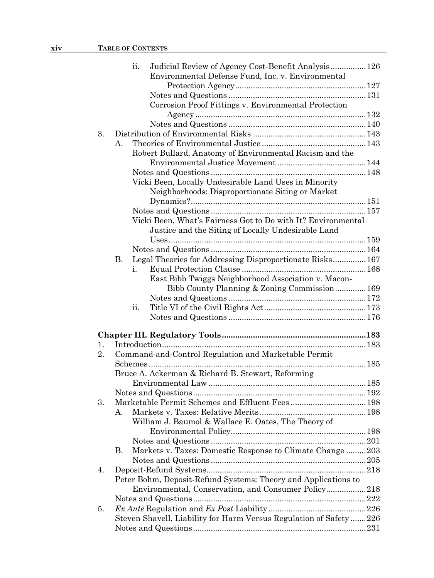|    |                | ii. | Judicial Review of Agency Cost-Benefit Analysis 126                |  |
|----|----------------|-----|--------------------------------------------------------------------|--|
|    |                |     | Environmental Defense Fund, Inc. v. Environmental                  |  |
|    |                |     |                                                                    |  |
|    |                |     |                                                                    |  |
|    |                |     | Corrosion Proof Fittings v. Environmental Protection               |  |
|    |                |     |                                                                    |  |
|    |                |     |                                                                    |  |
| 3. |                |     |                                                                    |  |
|    | $\mathbf{A}$ . |     |                                                                    |  |
|    |                |     | Robert Bullard, Anatomy of Environmental Racism and the            |  |
|    |                |     |                                                                    |  |
|    |                |     |                                                                    |  |
|    |                |     | Vicki Been, Locally Undesirable Land Uses in Minority              |  |
|    |                |     | Neighborhoods: Disproportionate Siting or Market                   |  |
|    |                |     |                                                                    |  |
|    |                |     |                                                                    |  |
|    |                |     | Vicki Been, What's Fairness Got to Do with It? Environmental       |  |
|    |                |     | Justice and the Siting of Locally Undesirable Land                 |  |
|    |                |     |                                                                    |  |
|    |                |     |                                                                    |  |
|    | В.             |     | Legal Theories for Addressing Disproportionate Risks 167           |  |
|    |                | i.  |                                                                    |  |
|    |                |     | East Bibb Twiggs Neighborhood Association v. Macon-                |  |
|    |                |     | Bibb County Planning & Zoning Commission 169                       |  |
|    |                |     |                                                                    |  |
|    |                | ii. |                                                                    |  |
|    |                |     |                                                                    |  |
|    |                |     |                                                                    |  |
|    |                |     |                                                                    |  |
| 1. |                |     |                                                                    |  |
| 2. |                |     | Command-and-Control Regulation and Marketable Permit               |  |
|    |                |     |                                                                    |  |
|    |                |     | Bruce A. Ackerman & Richard B. Stewart, Reforming                  |  |
|    |                |     |                                                                    |  |
|    |                |     |                                                                    |  |
| 3. |                |     |                                                                    |  |
|    | A.             |     |                                                                    |  |
|    |                |     | William J. Baumol & Wallace E. Oates, The Theory of                |  |
|    |                |     |                                                                    |  |
|    |                |     |                                                                    |  |
|    | В.             |     | Markets v. Taxes: Domestic Response to Climate Change203           |  |
|    |                |     |                                                                    |  |
| 4. |                |     |                                                                    |  |
|    |                |     | Peter Bohm, Deposit-Refund Systems: Theory and Applications to     |  |
|    |                |     | Environmental, Conservation, and Consumer Policy218                |  |
|    |                |     |                                                                    |  |
| 5. |                |     |                                                                    |  |
|    |                |     | Steven Shavell, Liability for Harm Versus Regulation of Safety 226 |  |
|    |                |     |                                                                    |  |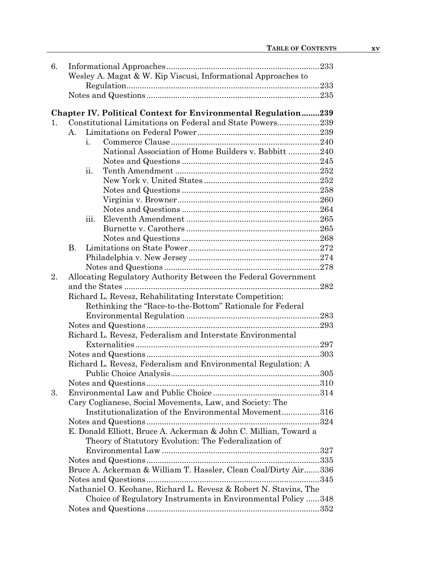| 6. |                                                               |                                                                      |  |  |  |  |
|----|---------------------------------------------------------------|----------------------------------------------------------------------|--|--|--|--|
|    | Wesley A. Magat & W. Kip Viscusi, Informational Approaches to |                                                                      |  |  |  |  |
|    |                                                               |                                                                      |  |  |  |  |
|    |                                                               |                                                                      |  |  |  |  |
|    |                                                               |                                                                      |  |  |  |  |
|    |                                                               | <b>Chapter IV. Political Context for Environmental Regulation239</b> |  |  |  |  |
| 1. |                                                               | Constitutional Limitations on Federal and State Powers239            |  |  |  |  |
|    | А.                                                            |                                                                      |  |  |  |  |
|    | i.                                                            |                                                                      |  |  |  |  |
|    |                                                               | National Association of Home Builders v. Babbitt 240                 |  |  |  |  |
|    |                                                               |                                                                      |  |  |  |  |
|    | ii.                                                           |                                                                      |  |  |  |  |
|    |                                                               |                                                                      |  |  |  |  |
|    |                                                               |                                                                      |  |  |  |  |
|    |                                                               |                                                                      |  |  |  |  |
|    |                                                               |                                                                      |  |  |  |  |
|    | 111.                                                          |                                                                      |  |  |  |  |
|    |                                                               |                                                                      |  |  |  |  |
|    |                                                               |                                                                      |  |  |  |  |
|    | В.                                                            |                                                                      |  |  |  |  |
|    |                                                               |                                                                      |  |  |  |  |
|    |                                                               |                                                                      |  |  |  |  |
| 2. |                                                               | Allocating Regulatory Authority Between the Federal Government       |  |  |  |  |
|    |                                                               |                                                                      |  |  |  |  |
|    |                                                               | Richard L. Revesz, Rehabilitating Interstate Competition:            |  |  |  |  |
|    |                                                               | Rethinking the "Race-to-the-Bottom" Rationale for Federal            |  |  |  |  |
|    |                                                               |                                                                      |  |  |  |  |
|    |                                                               |                                                                      |  |  |  |  |
|    |                                                               | Richard L. Revesz, Federalism and Interstate Environmental           |  |  |  |  |
|    |                                                               |                                                                      |  |  |  |  |
|    |                                                               |                                                                      |  |  |  |  |
|    |                                                               | Richard L. Revesz, Federalism and Environmental Regulation: A        |  |  |  |  |
|    |                                                               |                                                                      |  |  |  |  |
|    |                                                               |                                                                      |  |  |  |  |
| 3. |                                                               |                                                                      |  |  |  |  |
|    |                                                               | Cary Coglianese, Social Movements, Law, and Society: The             |  |  |  |  |
|    |                                                               | Institutionalization of the Environmental Movement316                |  |  |  |  |
|    |                                                               | 324                                                                  |  |  |  |  |
|    |                                                               | E. Donald Elliott, Bruce A. Ackerman & John C. Millian, Toward a     |  |  |  |  |
|    |                                                               | Theory of Statutory Evolution: The Federalization of                 |  |  |  |  |
|    |                                                               |                                                                      |  |  |  |  |
|    |                                                               |                                                                      |  |  |  |  |
|    |                                                               | Bruce A. Ackerman & William T. Hassler, Clean Coal/Dirty Air336      |  |  |  |  |
|    |                                                               |                                                                      |  |  |  |  |
|    |                                                               | Nathaniel O. Keohane, Richard L. Revesz & Robert N. Stavins, The     |  |  |  |  |
|    |                                                               | Choice of Regulatory Instruments in Environmental Policy 348         |  |  |  |  |
|    |                                                               |                                                                      |  |  |  |  |
|    |                                                               |                                                                      |  |  |  |  |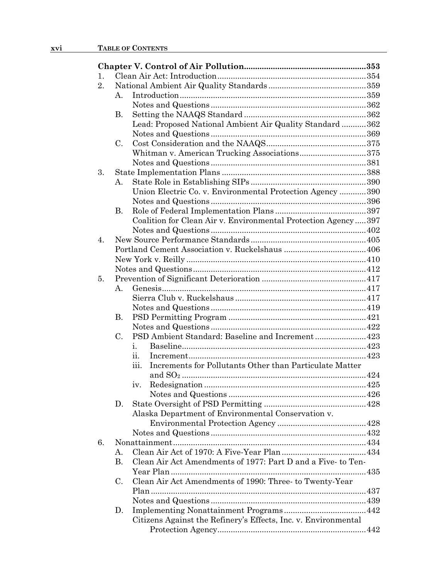| 1. |                 |                                                                 |  |  |  |
|----|-----------------|-----------------------------------------------------------------|--|--|--|
| 2. |                 |                                                                 |  |  |  |
|    | Α.              |                                                                 |  |  |  |
|    |                 |                                                                 |  |  |  |
|    | В.              |                                                                 |  |  |  |
|    |                 | Lead: Proposed National Ambient Air Quality Standard  362       |  |  |  |
|    |                 |                                                                 |  |  |  |
|    | C.              |                                                                 |  |  |  |
|    |                 | Whitman v. American Trucking Associations375                    |  |  |  |
|    |                 |                                                                 |  |  |  |
| 3. |                 |                                                                 |  |  |  |
|    | Α.              |                                                                 |  |  |  |
|    |                 | Union Electric Co. v. Environmental Protection Agency 390       |  |  |  |
|    |                 |                                                                 |  |  |  |
|    | В.              |                                                                 |  |  |  |
|    |                 | Coalition for Clean Air v. Environmental Protection Agency397   |  |  |  |
|    |                 |                                                                 |  |  |  |
| 4. |                 |                                                                 |  |  |  |
|    |                 |                                                                 |  |  |  |
|    |                 |                                                                 |  |  |  |
|    |                 |                                                                 |  |  |  |
| 5. |                 |                                                                 |  |  |  |
|    | $A_{\cdot}$     |                                                                 |  |  |  |
|    |                 |                                                                 |  |  |  |
|    |                 |                                                                 |  |  |  |
|    | В.              |                                                                 |  |  |  |
|    |                 |                                                                 |  |  |  |
|    | C.              | PSD Ambient Standard: Baseline and Increment 423                |  |  |  |
|    |                 | i.                                                              |  |  |  |
|    |                 | ii.                                                             |  |  |  |
|    |                 | Increments for Pollutants Other than Particulate Matter<br>iїi. |  |  |  |
|    |                 |                                                                 |  |  |  |
|    |                 | iv.                                                             |  |  |  |
|    |                 |                                                                 |  |  |  |
|    | D.              |                                                                 |  |  |  |
|    |                 | Alaska Department of Environmental Conservation v.              |  |  |  |
|    |                 |                                                                 |  |  |  |
|    |                 |                                                                 |  |  |  |
| 6. |                 |                                                                 |  |  |  |
|    | А.<br><b>B.</b> | Clean Air Act Amendments of 1977: Part D and a Five- to Ten-    |  |  |  |
|    |                 |                                                                 |  |  |  |
|    | C.              | Clean Air Act Amendments of 1990: Three- to Twenty-Year         |  |  |  |
|    |                 |                                                                 |  |  |  |
|    |                 |                                                                 |  |  |  |
|    | D.              |                                                                 |  |  |  |
|    |                 | Citizens Against the Refinery's Effects, Inc. v. Environmental  |  |  |  |
|    |                 |                                                                 |  |  |  |
|    |                 |                                                                 |  |  |  |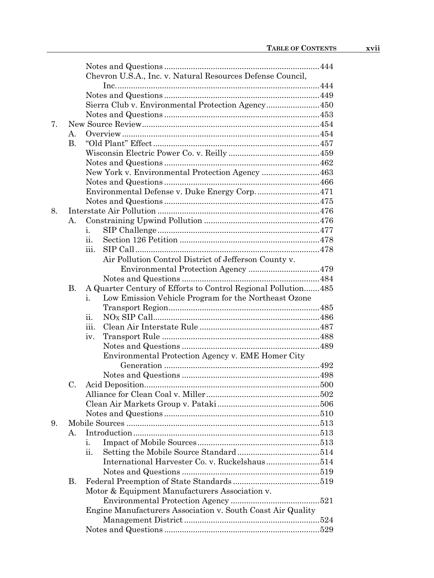|    |           | Chevron U.S.A., Inc. v. Natural Resources Defense Council,     |  |
|----|-----------|----------------------------------------------------------------|--|
|    |           |                                                                |  |
|    |           |                                                                |  |
|    |           | Sierra Club v. Environmental Protection Agency 450             |  |
|    |           |                                                                |  |
| 7. |           |                                                                |  |
|    | А.        |                                                                |  |
|    | <b>B.</b> |                                                                |  |
|    |           |                                                                |  |
|    |           |                                                                |  |
|    |           | New York v. Environmental Protection Agency 463                |  |
|    |           |                                                                |  |
|    |           | Environmental Defense v. Duke Energy Corp 471                  |  |
|    |           |                                                                |  |
| 8. |           |                                                                |  |
|    | А.        |                                                                |  |
|    |           | i.                                                             |  |
|    |           | ii.                                                            |  |
|    |           | iii.                                                           |  |
|    |           | Air Pollution Control District of Jefferson County v.          |  |
|    |           |                                                                |  |
|    |           |                                                                |  |
|    | <b>B.</b> | A Quarter Century of Efforts to Control Regional Pollution 485 |  |
|    |           | Low Emission Vehicle Program for the Northeast Ozone<br>i.     |  |
|    |           |                                                                |  |
|    |           | ii.                                                            |  |
|    |           | iii.                                                           |  |
|    |           | iv.                                                            |  |
|    |           |                                                                |  |
|    |           | Environmental Protection Agency v. EME Homer City              |  |
|    |           |                                                                |  |
|    |           |                                                                |  |
|    | C.        |                                                                |  |
|    |           |                                                                |  |
|    |           |                                                                |  |
|    |           |                                                                |  |
| 9. |           |                                                                |  |
|    | А.        |                                                                |  |
|    |           | i.                                                             |  |
|    |           | ii.                                                            |  |
|    |           | International Harvester Co. v. Ruckelshaus514                  |  |
|    |           |                                                                |  |
|    | В.        |                                                                |  |
|    |           | Motor & Equipment Manufacturers Association v.                 |  |
|    |           |                                                                |  |
|    |           | Engine Manufacturers Association v. South Coast Air Quality    |  |
|    |           |                                                                |  |
|    |           |                                                                |  |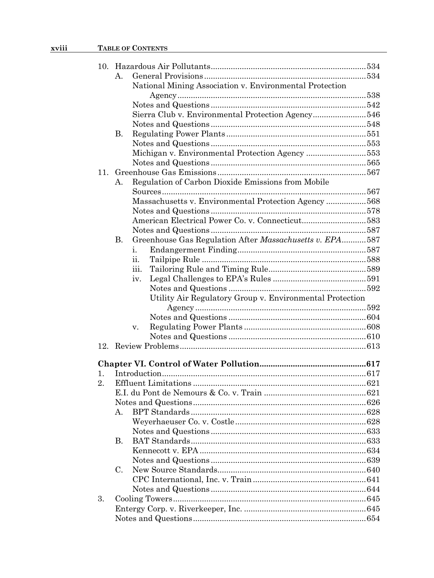## xviii TABLE OF CONTENTS

|     | $\mathbf{A}$ .                                                       |  |
|-----|----------------------------------------------------------------------|--|
|     | National Mining Association v. Environmental Protection              |  |
|     |                                                                      |  |
|     |                                                                      |  |
|     | Sierra Club v. Environmental Protection Agency546                    |  |
|     |                                                                      |  |
|     | В.                                                                   |  |
|     |                                                                      |  |
|     | Michigan v. Environmental Protection Agency 553                      |  |
|     |                                                                      |  |
| 11. |                                                                      |  |
|     | Regulation of Carbon Dioxide Emissions from Mobile<br>Α.             |  |
|     |                                                                      |  |
|     | Massachusetts v. Environmental Protection Agency 568                 |  |
|     |                                                                      |  |
|     | American Electrical Power Co. v. Connecticut583                      |  |
|     |                                                                      |  |
|     | Greenhouse Gas Regulation After Massachusetts v. EPA587<br><b>B.</b> |  |
|     | i.                                                                   |  |
|     | ii.<br>iii.                                                          |  |
|     | iv.                                                                  |  |
|     |                                                                      |  |
|     | Utility Air Regulatory Group v. Environmental Protection             |  |
|     |                                                                      |  |
|     |                                                                      |  |
|     | V.                                                                   |  |
|     |                                                                      |  |
|     |                                                                      |  |
|     |                                                                      |  |
|     |                                                                      |  |
| 1.  |                                                                      |  |
| 2.  |                                                                      |  |
|     |                                                                      |  |
|     |                                                                      |  |
|     |                                                                      |  |
|     |                                                                      |  |
|     |                                                                      |  |
|     | В.                                                                   |  |
|     |                                                                      |  |
|     |                                                                      |  |
|     | C.                                                                   |  |
|     |                                                                      |  |
|     |                                                                      |  |
| 3.  |                                                                      |  |
|     |                                                                      |  |
|     |                                                                      |  |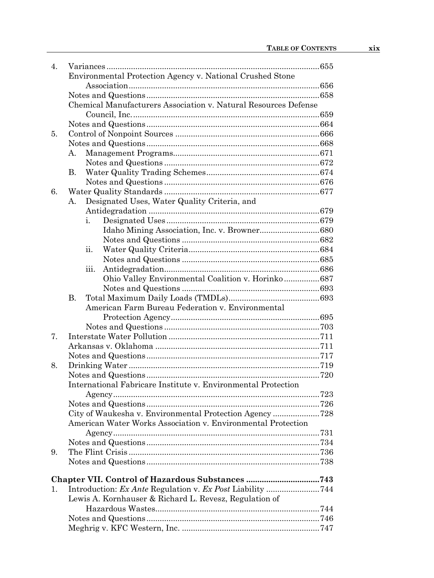| $\overline{4}$ . |                                                                 |  |  |
|------------------|-----------------------------------------------------------------|--|--|
|                  | Environmental Protection Agency v. National Crushed Stone       |  |  |
|                  |                                                                 |  |  |
|                  |                                                                 |  |  |
|                  | Chemical Manufacturers Association v. Natural Resources Defense |  |  |
|                  |                                                                 |  |  |
|                  |                                                                 |  |  |
| 5.               |                                                                 |  |  |
|                  |                                                                 |  |  |
|                  | А.                                                              |  |  |
|                  |                                                                 |  |  |
|                  | В.                                                              |  |  |
|                  |                                                                 |  |  |
| 6.               |                                                                 |  |  |
|                  | Designated Uses, Water Quality Criteria, and<br>А.              |  |  |
|                  |                                                                 |  |  |
|                  | i.                                                              |  |  |
|                  |                                                                 |  |  |
|                  |                                                                 |  |  |
|                  | ii.                                                             |  |  |
|                  |                                                                 |  |  |
|                  | iii.                                                            |  |  |
|                  | Ohio Valley Environmental Coalition v. Horinko687               |  |  |
|                  | <b>B.</b>                                                       |  |  |
|                  | American Farm Bureau Federation v. Environmental                |  |  |
|                  |                                                                 |  |  |
|                  |                                                                 |  |  |
| 7.               |                                                                 |  |  |
|                  |                                                                 |  |  |
|                  |                                                                 |  |  |
| 8.               |                                                                 |  |  |
|                  |                                                                 |  |  |
|                  | International Fabricare Institute v. Environmental Protection   |  |  |
|                  |                                                                 |  |  |
|                  |                                                                 |  |  |
|                  |                                                                 |  |  |
|                  | American Water Works Association v. Environmental Protection    |  |  |
|                  |                                                                 |  |  |
|                  |                                                                 |  |  |
| 9.               |                                                                 |  |  |
|                  |                                                                 |  |  |
|                  |                                                                 |  |  |
|                  |                                                                 |  |  |
| 1.               | Introduction: Ex Ante Regulation v. Ex Post Liability 744       |  |  |
|                  | Lewis A. Kornhauser & Richard L. Revesz, Regulation of          |  |  |
|                  |                                                                 |  |  |
|                  |                                                                 |  |  |
|                  |                                                                 |  |  |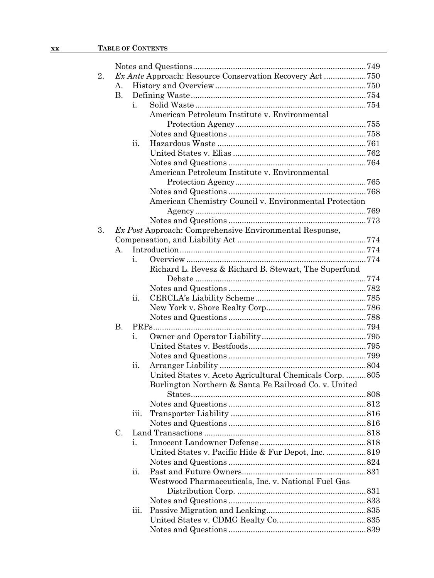| 2. |    |      | Ex Ante Approach: Resource Conservation Recovery Act750        |  |
|----|----|------|----------------------------------------------------------------|--|
|    | А. |      |                                                                |  |
|    | В. |      |                                                                |  |
|    |    | i.   |                                                                |  |
|    |    |      | American Petroleum Institute v. Environmental                  |  |
|    |    |      |                                                                |  |
|    |    |      |                                                                |  |
|    |    | ii.  |                                                                |  |
|    |    |      |                                                                |  |
|    |    |      |                                                                |  |
|    |    |      | American Petroleum Institute v. Environmental                  |  |
|    |    |      |                                                                |  |
|    |    |      |                                                                |  |
|    |    |      | American Chemistry Council v. Environmental Protection         |  |
|    |    |      |                                                                |  |
|    |    |      |                                                                |  |
| 3. |    |      | <i>Ex Post Approach: Comprehensive Environmental Response,</i> |  |
|    |    |      |                                                                |  |
|    | Α. |      |                                                                |  |
|    |    | i.   |                                                                |  |
|    |    |      | Richard L. Revesz & Richard B. Stewart, The Superfund          |  |
|    |    |      |                                                                |  |
|    |    |      |                                                                |  |
|    |    | ii.  |                                                                |  |
|    |    |      |                                                                |  |
|    |    |      |                                                                |  |
|    | В. |      |                                                                |  |
|    |    | 1.   |                                                                |  |
|    |    |      |                                                                |  |
|    |    |      |                                                                |  |
|    |    | ii.  |                                                                |  |
|    |    |      | United States v. Aceto Agricultural Chemicals Corp. 805        |  |
|    |    |      | Burlington Northern & Santa Fe Railroad Co. v. United          |  |
|    |    |      |                                                                |  |
|    |    |      |                                                                |  |
|    |    | 111. |                                                                |  |
|    | C. |      |                                                                |  |
|    |    |      |                                                                |  |
|    |    | i.   | United States v. Pacific Hide & Fur Depot, Inc.  819           |  |
|    |    |      |                                                                |  |
|    |    | ii.  |                                                                |  |
|    |    |      | Westwood Pharmaceuticals, Inc. v. National Fuel Gas            |  |
|    |    |      |                                                                |  |
|    |    |      |                                                                |  |
|    |    | 111. |                                                                |  |
|    |    |      |                                                                |  |
|    |    |      |                                                                |  |
|    |    |      |                                                                |  |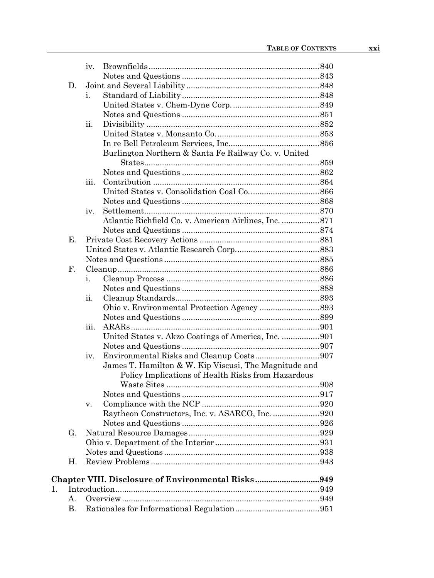|    |                | iv.                                                   |  |
|----|----------------|-------------------------------------------------------|--|
|    |                |                                                       |  |
|    | D.             |                                                       |  |
|    |                | i.                                                    |  |
|    |                |                                                       |  |
|    |                |                                                       |  |
|    |                | ii.                                                   |  |
|    |                |                                                       |  |
|    |                |                                                       |  |
|    |                | Burlington Northern & Santa Fe Railway Co. v. United  |  |
|    |                |                                                       |  |
|    |                |                                                       |  |
|    |                | iii.                                                  |  |
|    |                |                                                       |  |
|    |                |                                                       |  |
|    |                | iv.                                                   |  |
|    |                |                                                       |  |
|    |                |                                                       |  |
|    | Ε.             |                                                       |  |
|    |                |                                                       |  |
|    |                |                                                       |  |
|    | $\mathbf{F}$ . |                                                       |  |
|    |                | i.                                                    |  |
|    |                |                                                       |  |
|    |                | ii.                                                   |  |
|    |                |                                                       |  |
|    |                |                                                       |  |
|    |                | iii.                                                  |  |
|    |                | United States v. Akzo Coatings of America, Inc. 901   |  |
|    |                |                                                       |  |
|    |                | iv.                                                   |  |
|    |                | James T. Hamilton & W. Kip Viscusi, The Magnitude and |  |
|    |                | Policy Implications of Health Risks from Hazardous    |  |
|    |                |                                                       |  |
|    |                |                                                       |  |
|    |                | v.                                                    |  |
|    |                | Raytheon Constructors, Inc. v. ASARCO, Inc. 920       |  |
|    |                |                                                       |  |
|    | G.             |                                                       |  |
|    |                |                                                       |  |
|    |                |                                                       |  |
|    | Η.             |                                                       |  |
|    |                | Chapter VIII. Disclosure of Environmental Risks949    |  |
| 1. |                |                                                       |  |
|    | А.             |                                                       |  |
|    | В.             |                                                       |  |
|    |                |                                                       |  |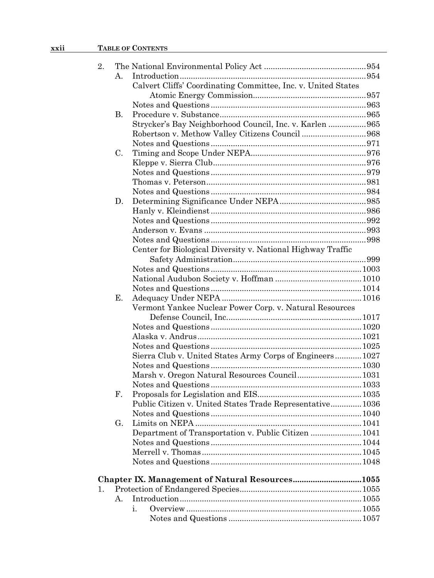## **xxii TABLE OF CONTENTS**

| 2. |                |                                                               |  |  |  |  |
|----|----------------|---------------------------------------------------------------|--|--|--|--|
|    | $\mathbf{A}$ . |                                                               |  |  |  |  |
|    |                | Calvert Cliffs' Coordinating Committee, Inc. v. United States |  |  |  |  |
|    |                |                                                               |  |  |  |  |
|    |                |                                                               |  |  |  |  |
|    | Β.             |                                                               |  |  |  |  |
|    |                | Strycker's Bay Neighborhood Council, Inc. v. Karlen  965      |  |  |  |  |
|    |                | Robertson v. Methow Valley Citizens Council 968               |  |  |  |  |
|    |                |                                                               |  |  |  |  |
|    | C.             |                                                               |  |  |  |  |
|    |                |                                                               |  |  |  |  |
|    |                |                                                               |  |  |  |  |
|    |                |                                                               |  |  |  |  |
|    |                |                                                               |  |  |  |  |
|    | D.             |                                                               |  |  |  |  |
|    |                |                                                               |  |  |  |  |
|    |                |                                                               |  |  |  |  |
|    |                |                                                               |  |  |  |  |
|    |                |                                                               |  |  |  |  |
|    |                | Center for Biological Diversity v. National Highway Traffic   |  |  |  |  |
|    |                |                                                               |  |  |  |  |
|    |                |                                                               |  |  |  |  |
|    |                |                                                               |  |  |  |  |
|    |                |                                                               |  |  |  |  |
|    | Е.             |                                                               |  |  |  |  |
|    |                | Vermont Yankee Nuclear Power Corp. v. Natural Resources       |  |  |  |  |
|    |                |                                                               |  |  |  |  |
|    |                |                                                               |  |  |  |  |
|    |                |                                                               |  |  |  |  |
|    |                |                                                               |  |  |  |  |
|    |                | Sierra Club v. United States Army Corps of Engineers 1027     |  |  |  |  |
|    |                |                                                               |  |  |  |  |
|    |                | Marsh v. Oregon Natural Resources Council 1031                |  |  |  |  |
|    |                |                                                               |  |  |  |  |
|    | F.             |                                                               |  |  |  |  |
|    |                | Public Citizen v. United States Trade Representative 1036     |  |  |  |  |
|    |                |                                                               |  |  |  |  |
|    | G.             |                                                               |  |  |  |  |
|    |                | Department of Transportation v. Public Citizen  1041          |  |  |  |  |
|    |                |                                                               |  |  |  |  |
|    |                |                                                               |  |  |  |  |
|    |                |                                                               |  |  |  |  |
|    |                | Chapter IX. Management of Natural Resources1055               |  |  |  |  |
| 1. |                |                                                               |  |  |  |  |
|    | $\mathsf{A}$ . |                                                               |  |  |  |  |
|    |                | i.                                                            |  |  |  |  |
|    |                |                                                               |  |  |  |  |
|    |                |                                                               |  |  |  |  |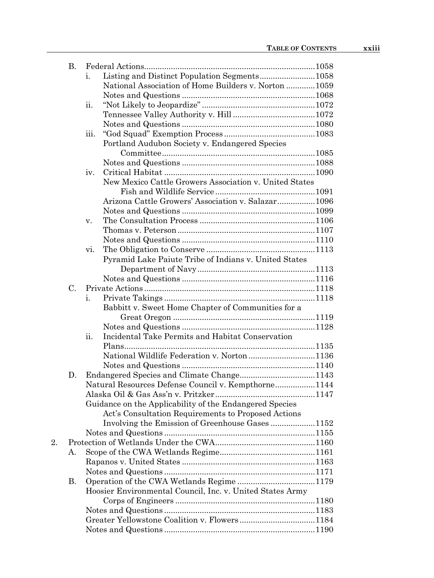|    | <b>B.</b> |                                                           |  |
|----|-----------|-----------------------------------------------------------|--|
|    |           | i.                                                        |  |
|    |           | National Association of Home Builders v. Norton  1059     |  |
|    |           |                                                           |  |
|    |           | ii.                                                       |  |
|    |           |                                                           |  |
|    |           |                                                           |  |
|    |           | iii.                                                      |  |
|    |           | Portland Audubon Society v. Endangered Species            |  |
|    |           |                                                           |  |
|    |           |                                                           |  |
|    |           | iv.                                                       |  |
|    |           | New Mexico Cattle Growers Association v. United States    |  |
|    |           |                                                           |  |
|    |           | Arizona Cattle Growers' Association v. Salazar1096        |  |
|    |           |                                                           |  |
|    |           | V.                                                        |  |
|    |           |                                                           |  |
|    |           |                                                           |  |
|    |           | vi.                                                       |  |
|    |           | Pyramid Lake Paiute Tribe of Indians v. United States     |  |
|    |           |                                                           |  |
|    |           |                                                           |  |
|    | C.        |                                                           |  |
|    |           | i.                                                        |  |
|    |           | Babbitt v. Sweet Home Chapter of Communities for a        |  |
|    |           |                                                           |  |
|    |           |                                                           |  |
|    |           | Incidental Take Permits and Habitat Conservation<br>ii.   |  |
|    |           |                                                           |  |
|    |           | National Wildlife Federation v. Norton 1136               |  |
|    |           |                                                           |  |
|    | D.        |                                                           |  |
|    |           | Natural Resources Defense Council v. Kempthorne1144       |  |
|    |           |                                                           |  |
|    |           | Guidance on the Applicability of the Endangered Species   |  |
|    |           | Act's Consultation Requirements to Proposed Actions       |  |
|    |           | Involving the Emission of Greenhouse Gases 1152           |  |
|    |           |                                                           |  |
| 2. |           |                                                           |  |
|    | А.        |                                                           |  |
|    |           |                                                           |  |
|    |           |                                                           |  |
|    | В.        |                                                           |  |
|    |           | Hoosier Environmental Council, Inc. v. United States Army |  |
|    |           |                                                           |  |
|    |           |                                                           |  |
|    |           |                                                           |  |
|    |           |                                                           |  |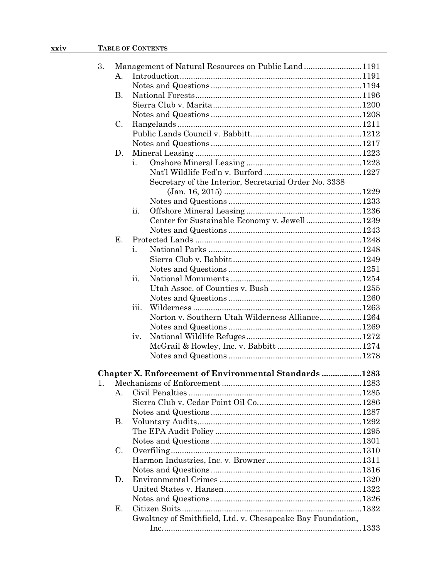| 3. |             | Management of Natural Resources on Public Land1191            |  |  |  |  |
|----|-------------|---------------------------------------------------------------|--|--|--|--|
|    | $A_{\cdot}$ |                                                               |  |  |  |  |
|    |             |                                                               |  |  |  |  |
|    | <b>B.</b>   |                                                               |  |  |  |  |
|    |             |                                                               |  |  |  |  |
|    |             |                                                               |  |  |  |  |
|    | C.          |                                                               |  |  |  |  |
|    |             |                                                               |  |  |  |  |
|    |             |                                                               |  |  |  |  |
|    | D.          |                                                               |  |  |  |  |
|    |             | i.                                                            |  |  |  |  |
|    |             |                                                               |  |  |  |  |
|    |             | Secretary of the Interior, Secretarial Order No. 3338         |  |  |  |  |
|    |             |                                                               |  |  |  |  |
|    |             |                                                               |  |  |  |  |
|    |             | 11.                                                           |  |  |  |  |
|    |             | Center for Sustainable Economy v. Jewell 1239                 |  |  |  |  |
|    |             |                                                               |  |  |  |  |
|    | Е.          |                                                               |  |  |  |  |
|    |             | i.                                                            |  |  |  |  |
|    |             |                                                               |  |  |  |  |
|    |             |                                                               |  |  |  |  |
|    |             | ii.                                                           |  |  |  |  |
|    |             |                                                               |  |  |  |  |
|    |             |                                                               |  |  |  |  |
|    |             | iїi.                                                          |  |  |  |  |
|    |             | Norton v. Southern Utah Wilderness Alliance 1264              |  |  |  |  |
|    |             |                                                               |  |  |  |  |
|    |             | iv.                                                           |  |  |  |  |
|    |             |                                                               |  |  |  |  |
|    |             |                                                               |  |  |  |  |
|    |             |                                                               |  |  |  |  |
|    |             | <b>Chapter X. Enforcement of Environmental Standards 1283</b> |  |  |  |  |
| 1. |             |                                                               |  |  |  |  |
|    | $A_{\cdot}$ |                                                               |  |  |  |  |
|    |             |                                                               |  |  |  |  |
|    |             |                                                               |  |  |  |  |
|    | <b>B.</b>   |                                                               |  |  |  |  |
|    |             |                                                               |  |  |  |  |
|    |             |                                                               |  |  |  |  |
|    | C.          |                                                               |  |  |  |  |
|    |             |                                                               |  |  |  |  |
|    |             |                                                               |  |  |  |  |
|    | D.          |                                                               |  |  |  |  |
|    |             |                                                               |  |  |  |  |
|    |             |                                                               |  |  |  |  |
|    | Е.          |                                                               |  |  |  |  |
|    |             | Gwaltney of Smithfield, Ltd. v. Chesapeake Bay Foundation,    |  |  |  |  |
|    |             |                                                               |  |  |  |  |